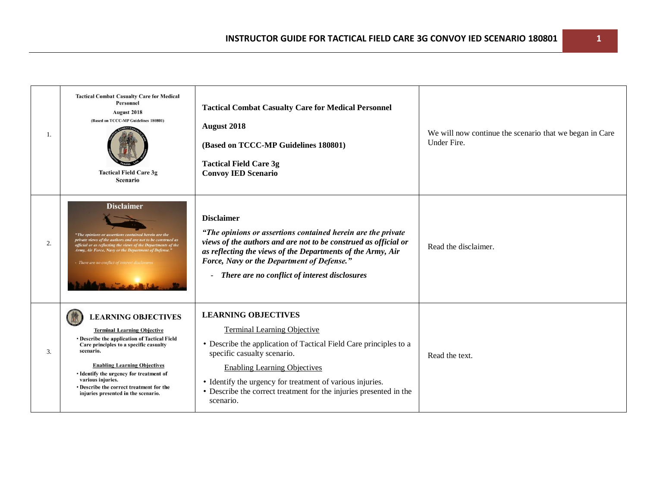| 1. | <b>Tactical Combat Casualty Care for Medical</b><br>Personnel<br><b>August 2018</b><br>(Based on TCCC-MP Guidelines 180801)<br><b>Tactical Field Care 3g</b><br><b>Scenario</b>                                                                                                                                                                                   | <b>Tactical Combat Casualty Care for Medical Personnel</b><br><b>August 2018</b><br>(Based on TCCC-MP Guidelines 180801)<br><b>Tactical Field Care 3g</b><br><b>Convoy IED Scenario</b>                                                                                                                                                                     | We will now continue the scenario that we began in Care<br>Under Fire. |
|----|-------------------------------------------------------------------------------------------------------------------------------------------------------------------------------------------------------------------------------------------------------------------------------------------------------------------------------------------------------------------|-------------------------------------------------------------------------------------------------------------------------------------------------------------------------------------------------------------------------------------------------------------------------------------------------------------------------------------------------------------|------------------------------------------------------------------------|
| 2. | <b>Disclaimer</b><br>"The opinions or assertions contained herein are the<br>private views of the authors and are not to be construed as<br>official or as reflecting the views of the Departments of the<br>Army, Air Force, Navy or the Department of Defense."<br>- There are no conflict of interest disclo                                                   | <b>Disclaimer</b><br>"The opinions or assertions contained herein are the private<br>views of the authors and are not to be construed as official or<br>as reflecting the views of the Departments of the Army, Air<br>Force, Navy or the Department of Defense."<br>- There are no conflict of interest disclosures                                        | Read the disclaimer.                                                   |
| 3. | <b>LEARNING OBJECTIVES</b><br><b>Terminal Learning Objective</b><br>• Describe the application of Tactical Field<br>Care principles to a specific casualty<br>scenario.<br><b>Enabling Learning Objectives</b><br>• Identify the urgency for treatment of<br>various injuries.<br>• Describe the correct treatment for the<br>injuries presented in the scenario. | <b>LEARNING OBJECTIVES</b><br><b>Terminal Learning Objective</b><br>• Describe the application of Tactical Field Care principles to a<br>specific casualty scenario.<br><b>Enabling Learning Objectives</b><br>• Identify the urgency for treatment of various injuries.<br>• Describe the correct treatment for the injuries presented in the<br>scenario. | Read the text.                                                         |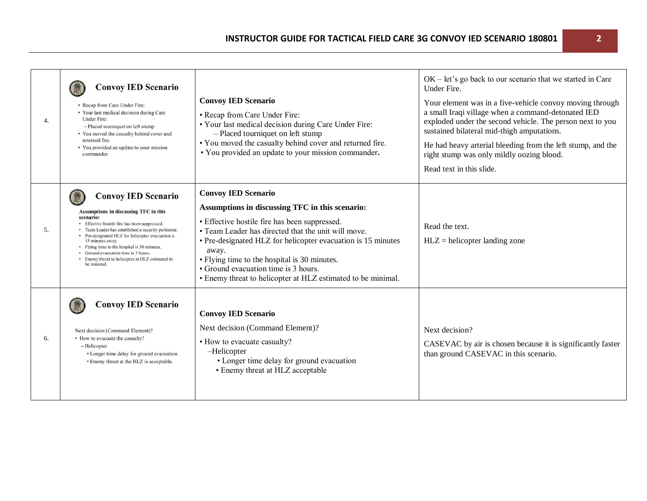| 4. | <b>Convoy IED Scenario</b><br>• Recap from Care Under Fire:<br>• Your last medical decision during Care<br>Under Fire:<br>- Placed tourniquet on left stump<br>• You moved the casualty behind cover and<br>returned fire.<br>• You provided an update to your mission<br>commander.                                                                                                                                       | <b>Convoy IED Scenario</b><br>• Recap from Care Under Fire:<br>• Your last medical decision during Care Under Fire:<br>- Placed tourniquet on left stump<br>• You moved the casualty behind cover and returned fire.<br>• You provided an update to your mission commander.                                                                                                                                            | $OK$ – let's go back to our scenario that we started in Care<br>Under Fire.<br>Your element was in a five-vehicle convoy moving through<br>a small Iraqi village when a command-detonated IED<br>exploded under the second vehicle. The person next to you<br>sustained bilateral mid-thigh amputations.<br>He had heavy arterial bleeding from the left stump, and the<br>right stump was only mildly oozing blood.<br>Read text in this slide. |
|----|----------------------------------------------------------------------------------------------------------------------------------------------------------------------------------------------------------------------------------------------------------------------------------------------------------------------------------------------------------------------------------------------------------------------------|------------------------------------------------------------------------------------------------------------------------------------------------------------------------------------------------------------------------------------------------------------------------------------------------------------------------------------------------------------------------------------------------------------------------|--------------------------------------------------------------------------------------------------------------------------------------------------------------------------------------------------------------------------------------------------------------------------------------------------------------------------------------------------------------------------------------------------------------------------------------------------|
| 5. | <b>Convoy IED Scenario</b><br>Assumptions in discussing TFC in this<br>scenario:<br>• Effective hostile fire has been suppressed.<br>• Team Leader has established a security perimeter.<br>• Pre-designated HLZ for helicopter evacuation is<br>15 minutes away.<br>• Flying time to the hospital is 30 minutes.<br>• Ground evacuation time is 3 hours.<br>Enemy threat to helicopter at HLZ estimated to<br>be minimal. | <b>Convoy IED Scenario</b><br>Assumptions in discussing TFC in this scenario:<br>• Effective hostile fire has been suppressed.<br>• Team Leader has directed that the unit will move.<br>• Pre-designated HLZ for helicopter evacuation is 15 minutes<br>away.<br>• Flying time to the hospital is 30 minutes.<br>• Ground evacuation time is 3 hours.<br>• Enemy threat to helicopter at HLZ estimated to be minimal. | Read the text.<br>$HLZ$ = helicopter landing zone                                                                                                                                                                                                                                                                                                                                                                                                |
| 6. | <b>Convoy IED Scenario</b><br>Next decision (Command Element)?<br>• How to evacuate the casualty?<br>-Helicopter<br>• Longer time delay for ground evacuation.<br>• Enemy threat at the HLZ is acceptable.                                                                                                                                                                                                                 | <b>Convoy IED Scenario</b><br>Next decision (Command Element)?<br>• How to evacuate casualty?<br>-Helicopter<br>• Longer time delay for ground evacuation<br>• Enemy threat at HLZ acceptable                                                                                                                                                                                                                          | Next decision?<br>CASEVAC by air is chosen because it is significantly faster<br>than ground CASEVAC in this scenario.                                                                                                                                                                                                                                                                                                                           |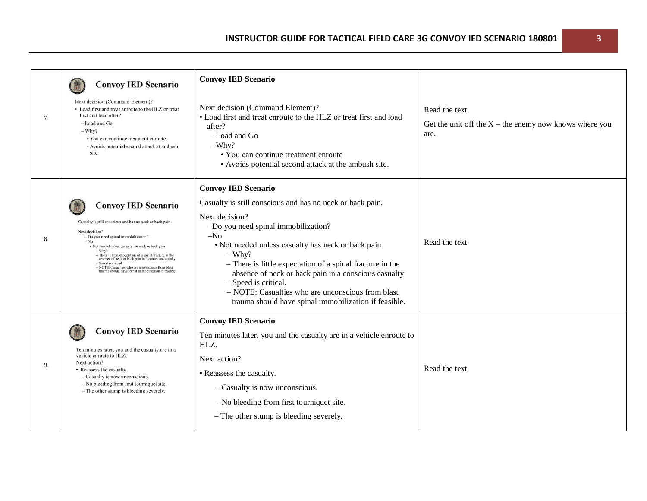| 7. | <b>Convoy IED Scenario</b><br>Next decision (Command Element)?<br>• Load first and treat enroute to the HLZ or treat<br>first and load after?<br>-Load and Go<br>$-Whv?$<br>• You can continue treatment enroute.<br>• Avoids potential second attack at ambush<br>site.                                                                                                                                                                                                              | <b>Convoy IED Scenario</b><br>Next decision (Command Element)?<br>• Load first and treat enroute to the HLZ or treat first and load<br>after?<br>$-$ Load and Go<br>$-W$ hy?<br>• You can continue treatment enroute<br>• Avoids potential second attack at the ambush site.                                                                                                                                                                                                           | Read the text.<br>Get the unit off the $X$ – the enemy now knows where you<br>are. |
|----|---------------------------------------------------------------------------------------------------------------------------------------------------------------------------------------------------------------------------------------------------------------------------------------------------------------------------------------------------------------------------------------------------------------------------------------------------------------------------------------|----------------------------------------------------------------------------------------------------------------------------------------------------------------------------------------------------------------------------------------------------------------------------------------------------------------------------------------------------------------------------------------------------------------------------------------------------------------------------------------|------------------------------------------------------------------------------------|
| 8. | <b>Convoy IED Scenario</b><br>Casualty is still conscious and has no neck or back pain.<br>Next decision?<br>- Do you need spinal immobilization?<br>$-$ No<br>· Not needed unless casualty has neck or back pain<br>$-$ Why?<br>- There is little expectation of a spinal fracture in the absence of neck or back pain in a conscious casualty.<br>- Speed is critical.<br>- NOTE: Casualties who are unconscious from blast<br>trauma should have spinal immobilization if feasible | <b>Convoy IED Scenario</b><br>Casualty is still conscious and has no neck or back pain.<br>Next decision?<br>-Do you need spinal immobilization?<br>$-No$<br>• Not needed unless casualty has neck or back pain<br>$-$ Why?<br>- There is little expectation of a spinal fracture in the<br>absence of neck or back pain in a conscious casualty<br>- Speed is critical.<br>- NOTE: Casualties who are unconscious from blast<br>trauma should have spinal immobilization if feasible. | Read the text.                                                                     |
| 9. | <b>Convoy IED Scenario</b><br>Ten minutes later, you and the casualty are in a<br>vehicle enroute to HLZ.<br>Next action?<br>• Reassess the casualty.<br>- Casualty is now unconscious.<br>- No bleeding from first tourniquet site.<br>- The other stump is bleeding severely.                                                                                                                                                                                                       | <b>Convoy IED Scenario</b><br>Ten minutes later, you and the casualty are in a vehicle enroute to<br>HLZ.<br>Next action?<br>• Reassess the casualty.<br>- Casualty is now unconscious.<br>$-$ No bleeding from first tourniquet site.<br>- The other stump is bleeding severely.                                                                                                                                                                                                      | Read the text.                                                                     |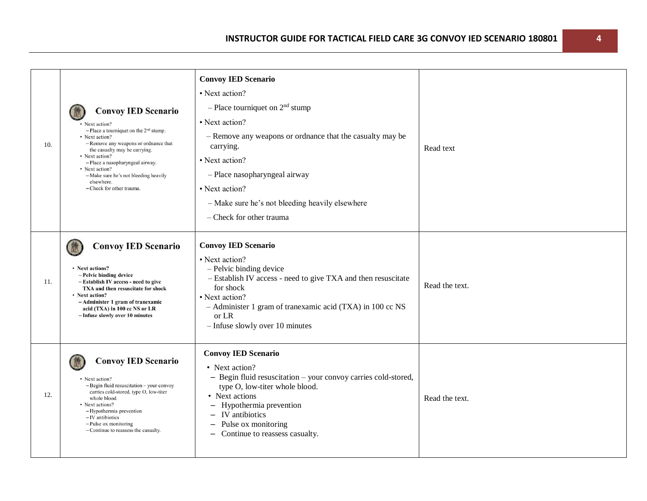|     |                                                                                                                                                                                                                                                                                                                                                             | <b>Convoy IED Scenario</b>                                                                                                                                                                                                                                                                          |                |
|-----|-------------------------------------------------------------------------------------------------------------------------------------------------------------------------------------------------------------------------------------------------------------------------------------------------------------------------------------------------------------|-----------------------------------------------------------------------------------------------------------------------------------------------------------------------------------------------------------------------------------------------------------------------------------------------------|----------------|
| 10. | <b>Convoy IED Scenario</b><br>• Next action?<br>$-$ Place a tourniquet on the 2 <sup>nd</sup> stump.<br>• Next action?<br>- Remove any weapons or ordnance that<br>the casualty may be carrying.<br>• Next action?<br>- Place a nasopharyngeal airway.<br>• Next action?<br>-Make sure he's not bleeding heavily<br>elsewhere.<br>- Check for other trauma. | • Next action?<br>- Place tourniquet on $2nd$ stump<br>• Next action?<br>- Remove any weapons or ordnance that the casualty may be<br>carrying.<br>• Next action?<br>- Place nasopharyngeal airway<br>• Next action?<br>- Make sure he's not bleeding heavily elsewhere<br>- Check for other trauma | Read text      |
| 11. | <b>Convoy IED Scenario</b><br>• Next actions?<br>- Pelvic binding device<br>-Establish IV access - need to give<br>TXA and then resuscitate for shock<br>• Next action?<br>-Administer 1 gram of tranexamic<br>acid (TXA) in 100 cc NS or LR<br>- Infuse slowly over 10 minutes                                                                             | <b>Convoy IED Scenario</b><br>• Next action?<br>- Pelvic binding device<br>- Establish IV access - need to give TXA and then resuscitate<br>for shock<br>• Next action?<br>- Administer 1 gram of tranexamic acid (TXA) in 100 cc NS<br>or LR<br>$-$ Infuse slowly over 10 minutes                  | Read the text. |
| 12. | <b>Convoy IED Scenario</b><br>• Next action?<br>- Begin fluid resuscitation - your convoy<br>carries cold-stored, type O, low-titer<br>whole blood.<br>• Next actions?<br>-Hypothermia prevention<br>$-IV$ antibiotics<br>$-$ Pulse ox monitoring<br>- Continue to reassess the casualty.                                                                   | <b>Convoy IED Scenario</b><br>• Next action?<br>- Begin fluid resuscitation - your convoy carries cold-stored,<br>type O, low-titer whole blood.<br>• Next actions<br>- Hypothermia prevention<br>IV antibiotics<br>Pulse ox monitoring<br>- Continue to reassess casualty.                         | Read the text. |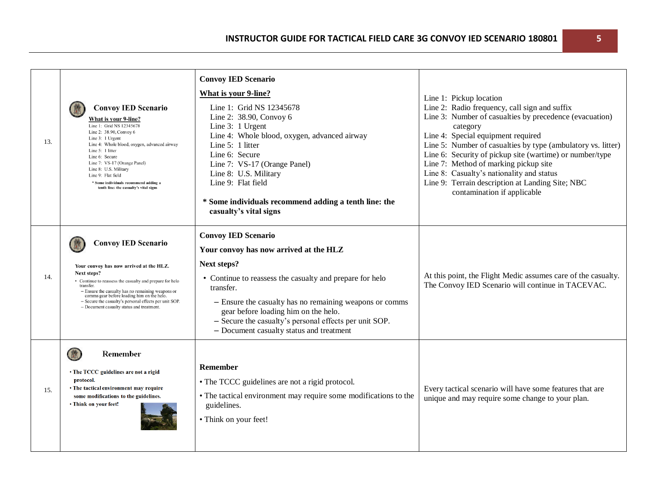| 13. | <b>Convoy IED Scenario</b><br>What is your 9-line?<br>Line 1: Grid NS 12345678<br>Line 2: 38.90, Convoy 6<br>Line 3: 1 Urgent<br>Line 4: Whole blood, oxygen, advanced airway<br>Line $5:1$ litter<br>Line 6: Secure<br>Line 7: VS-17 (Orange Panel)<br>Line 8: U.S. Military<br>Line 9: Flat field<br>* Some individuals recommend adding a<br>tenth line: the casualty's vital signs | <b>Convoy IED Scenario</b><br><b>What is your 9-line?</b><br>Line 1: Grid NS 12345678<br>Line 2: 38.90, Convoy 6<br>Line 3: 1 Urgent<br>Line 4: Whole blood, oxygen, advanced airway<br>Line 5: 1 litter<br>Line 6: Secure<br>Line 7: VS-17 (Orange Panel)<br>Line 8: U.S. Military<br>Line 9: Flat field<br>* Some individuals recommend adding a tenth line: the<br>casualty's vital signs | Line 1: Pickup location<br>Line 2: Radio frequency, call sign and suffix<br>Line 3: Number of casualties by precedence (evacuation)<br>category<br>Line 4: Special equipment required<br>Line 5: Number of casualties by type (ambulatory vs. litter)<br>Line 6: Security of pickup site (wartime) or number/type<br>Line 7: Method of marking pickup site<br>Line 8: Casualty's nationality and status<br>Line 9: Terrain description at Landing Site; NBC<br>contamination if applicable |
|-----|----------------------------------------------------------------------------------------------------------------------------------------------------------------------------------------------------------------------------------------------------------------------------------------------------------------------------------------------------------------------------------------|----------------------------------------------------------------------------------------------------------------------------------------------------------------------------------------------------------------------------------------------------------------------------------------------------------------------------------------------------------------------------------------------|--------------------------------------------------------------------------------------------------------------------------------------------------------------------------------------------------------------------------------------------------------------------------------------------------------------------------------------------------------------------------------------------------------------------------------------------------------------------------------------------|
| 14. | <b>Convoy IED Scenario</b><br>Your convoy has now arrived at the HLZ.<br>Next steps?<br>• Continue to reassess the casualty and prepare for helo<br>transfer.<br>- Ensure the casualty has no remaining weapons or<br>comms gear before loading him on the helo.<br>- Secure the casualty's personal effects per unit SOP.<br>- Document casualty status and treatment.                | <b>Convoy IED Scenario</b><br>Your convoy has now arrived at the HLZ<br>Next steps?<br>• Continue to reassess the casualty and prepare for helo<br>transfer.<br>- Ensure the casualty has no remaining weapons or comms<br>gear before loading him on the helo.<br>- Secure the casualty's personal effects per unit SOP.<br>- Document casualty status and treatment                        | At this point, the Flight Medic assumes care of the casualty.<br>The Convoy IED Scenario will continue in TACEVAC.                                                                                                                                                                                                                                                                                                                                                                         |
| 15. | 做<br><b>Remember</b><br>• The TCCC guidelines are not a rigid<br>protocol.<br>• The tactical environment may require<br>some modifications to the guidelines.<br>• Think on your feet!                                                                                                                                                                                                 | Remember<br>• The TCCC guidelines are not a rigid protocol.<br>• The tactical environment may require some modifications to the<br>guidelines.<br>• Think on your feet!                                                                                                                                                                                                                      | Every tactical scenario will have some features that are<br>unique and may require some change to your plan.                                                                                                                                                                                                                                                                                                                                                                               |